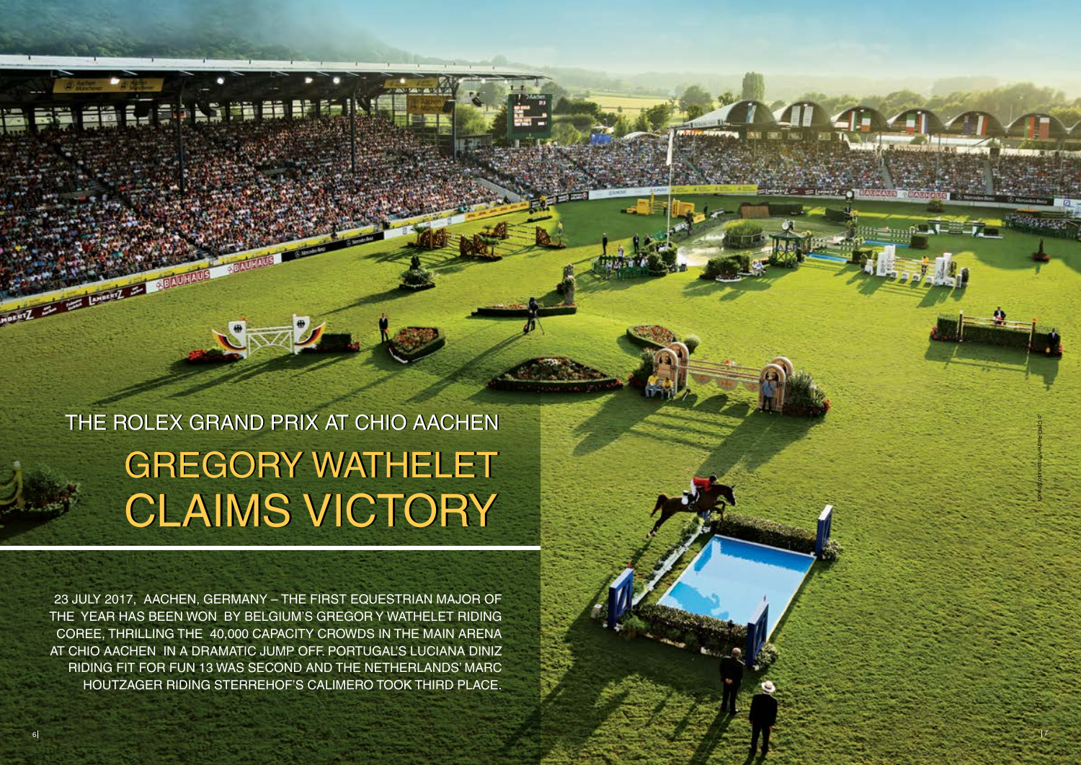THE ROLEX GRAND PRIX AT CHIO AACHEN GREGORY WATHELET GREGORY WATHELET CLAIMS VICTORY CLAIMS VICTORY

23 July 2017, Aachen, Germany – The first equestrian Major of THE YEAR HAS BEEN WON BY BELGIUM'S GREGOR Y WATHELET F Coree, thrilling the 40,000 capacity crowds in the main arena at CHIO Aachen in a dramatic j ump off. Port ugal' s Luciana Diniz RIDING FIT FOR FUN 13 WAS SECOND AND THE NETHERLANDS' MA H o u t zager riding Sterrehof' s Calimero took third place .



**Longing Lines**